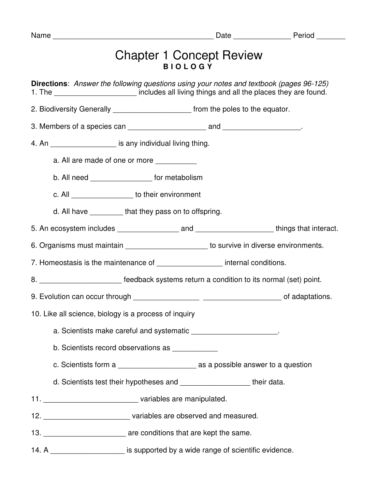| Name                                                                                                                                                                                           |                                                                                    |  |  |
|------------------------------------------------------------------------------------------------------------------------------------------------------------------------------------------------|------------------------------------------------------------------------------------|--|--|
|                                                                                                                                                                                                | <b>Chapter 1 Concept Review</b><br><b>BIOLOGY</b>                                  |  |  |
| <b>Directions:</b> Answer the following questions using your notes and textbook (pages 96-125)<br>1. The _______________________ includes all living things and all the places they are found. |                                                                                    |  |  |
| 2. Biodiversity Generally _________________________ from the poles to the equator.                                                                                                             |                                                                                    |  |  |
|                                                                                                                                                                                                |                                                                                    |  |  |
| 4. An ____________________ is any individual living thing.                                                                                                                                     |                                                                                    |  |  |
| a. All are made of one or more ___________                                                                                                                                                     |                                                                                    |  |  |
| b. All need ___________________ for metabolism                                                                                                                                                 |                                                                                    |  |  |
| c. All _____________________ to their environment                                                                                                                                              |                                                                                    |  |  |
| d. All have _________that they pass on to offspring.                                                                                                                                           |                                                                                    |  |  |
|                                                                                                                                                                                                |                                                                                    |  |  |
| 6. Organisms must maintain _______________________ to survive in diverse environments.                                                                                                         |                                                                                    |  |  |
| 7. Homeostasis is the maintenance of __________________ internal conditions.                                                                                                                   |                                                                                    |  |  |
| 8. ____________________________ feedback systems return a condition to its normal (set) point.                                                                                                 |                                                                                    |  |  |
|                                                                                                                                                                                                |                                                                                    |  |  |
| 10. Like all science, biology is a process of inquiry                                                                                                                                          |                                                                                    |  |  |
| a. Scientists make careful and systematic _______________________.                                                                                                                             |                                                                                    |  |  |
| b. Scientists record observations as ____________                                                                                                                                              |                                                                                    |  |  |
|                                                                                                                                                                                                |                                                                                    |  |  |
| d. Scientists test their hypotheses and _______________________ their data.                                                                                                                    |                                                                                    |  |  |
|                                                                                                                                                                                                |                                                                                    |  |  |
|                                                                                                                                                                                                | 12. ________________________________variables are observed and measured.           |  |  |
|                                                                                                                                                                                                |                                                                                    |  |  |
|                                                                                                                                                                                                | 14. A _______________________ is supported by a wide range of scientific evidence. |  |  |